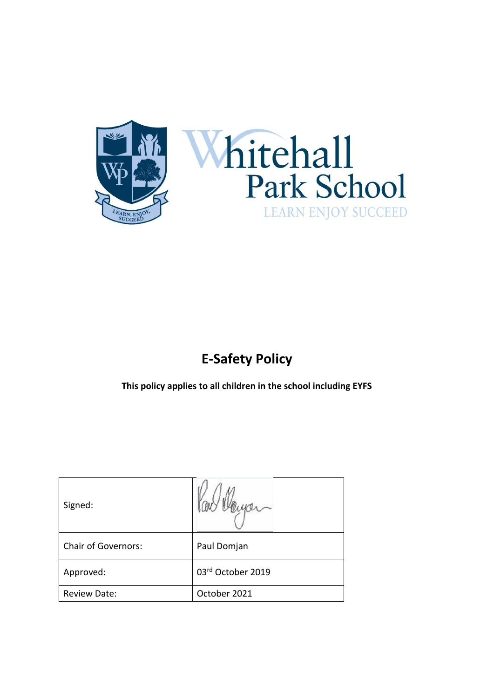



# **E-Safety Policy**

**This policy applies to all children in the school including EYFS**

| Signed:                    |                   |
|----------------------------|-------------------|
| <b>Chair of Governors:</b> | Paul Domjan       |
| Approved:                  | 03rd October 2019 |
| Review Date:               | October 2021      |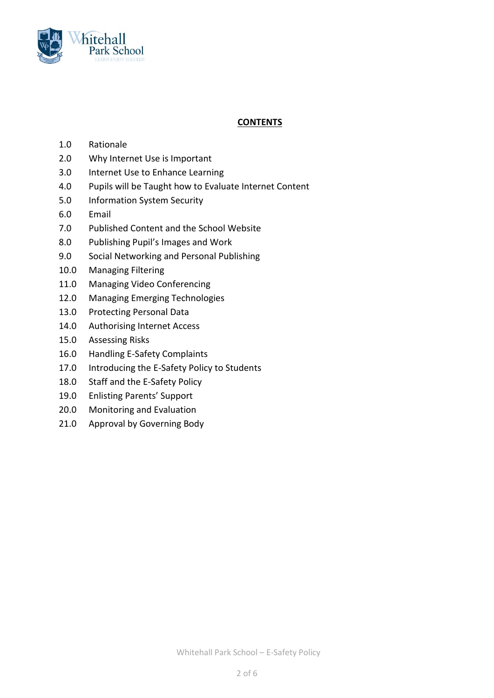

## **CONTENTS**

- 1.0 Rationale
- 2.0 Why Internet Use is Important
- 3.0 Internet Use to Enhance Learning
- 4.0 Pupils will be Taught how to Evaluate Internet Content
- 5.0 Information System Security
- 6.0 Email
- 7.0 Published Content and the School Website
- 8.0 Publishing Pupil's Images and Work
- 9.0 Social Networking and Personal Publishing
- 10.0 Managing Filtering
- 11.0 Managing Video Conferencing
- 12.0 Managing Emerging Technologies
- 13.0 Protecting Personal Data
- 14.0 Authorising Internet Access
- 15.0 Assessing Risks
- 16.0 Handling E-Safety Complaints
- 17.0 Introducing the E-Safety Policy to Students
- 18.0 Staff and the E-Safety Policy
- 19.0 Enlisting Parents' Support
- 20.0 Monitoring and Evaluation
- 21.0 Approval by Governing Body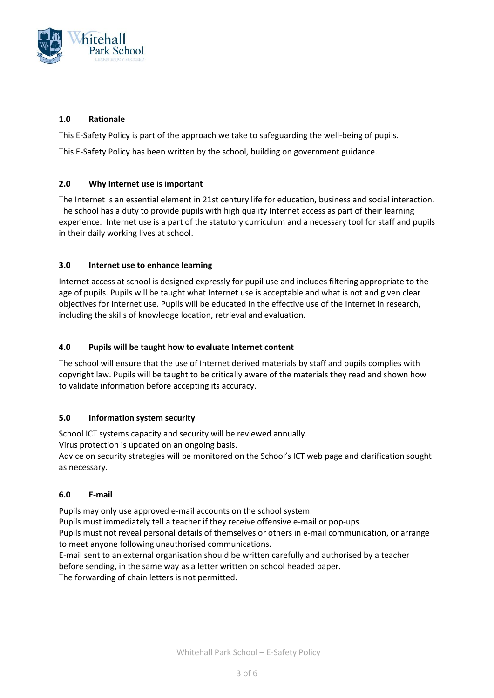

## **1.0 Rationale**

This E-Safety Policy is part of the approach we take to safeguarding the well-being of pupils.

This E-Safety Policy has been written by the school, building on government guidance.

## **2.0 Why Internet use is important**

The Internet is an essential element in 21st century life for education, business and social interaction. The school has a duty to provide pupils with high quality Internet access as part of their learning experience. Internet use is a part of the statutory curriculum and a necessary tool for staff and pupils in their daily working lives at school.

## **3.0 Internet use to enhance learning**

Internet access at school is designed expressly for pupil use and includes filtering appropriate to the age of pupils. Pupils will be taught what Internet use is acceptable and what is not and given clear objectives for Internet use. Pupils will be educated in the effective use of the Internet in research, including the skills of knowledge location, retrieval and evaluation.

## **4.0 Pupils will be taught how to evaluate Internet content**

The school will ensure that the use of Internet derived materials by staff and pupils complies with copyright law. Pupils will be taught to be critically aware of the materials they read and shown how to validate information before accepting its accuracy.

## **5.0 Information system security**

School ICT systems capacity and security will be reviewed annually.

Virus protection is updated on an ongoing basis.

Advice on security strategies will be monitored on the School's ICT web page and clarification sought as necessary.

## **6.0 E-mail**

Pupils may only use approved e-mail accounts on the school system.

Pupils must immediately tell a teacher if they receive offensive e-mail or pop-ups.

Pupils must not reveal personal details of themselves or others in e-mail communication, or arrange to meet anyone following unauthorised communications.

E-mail sent to an external organisation should be written carefully and authorised by a teacher before sending, in the same way as a letter written on school headed paper.

The forwarding of chain letters is not permitted.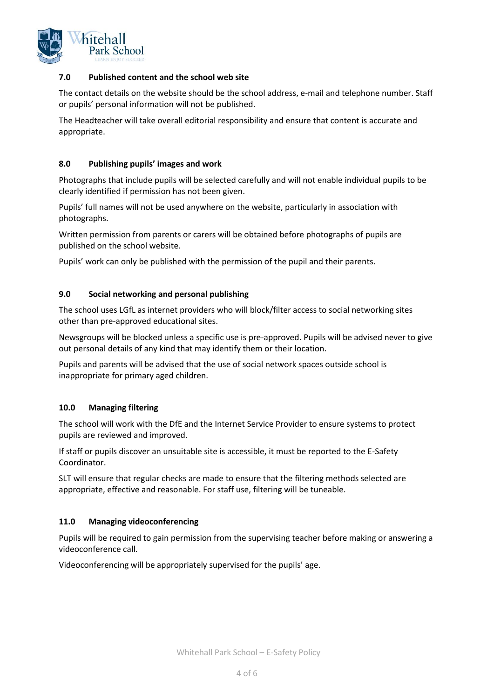

#### **7.0 Published content and the school web site**

The contact details on the website should be the school address, e-mail and telephone number. Staff or pupils' personal information will not be published.

The Headteacher will take overall editorial responsibility and ensure that content is accurate and appropriate.

#### **8.0 Publishing pupils' images and work**

Photographs that include pupils will be selected carefully and will not enable individual pupils to be clearly identified if permission has not been given.

Pupils' full names will not be used anywhere on the website, particularly in association with photographs.

Written permission from parents or carers will be obtained before photographs of pupils are published on the school website.

Pupils' work can only be published with the permission of the pupil and their parents.

#### **9.0 Social networking and personal publishing**

The school uses LGfL as internet providers who will block/filter access to social networking sites other than pre-approved educational sites.

Newsgroups will be blocked unless a specific use is pre-approved. Pupils will be advised never to give out personal details of any kind that may identify them or their location.

Pupils and parents will be advised that the use of social network spaces outside school is inappropriate for primary aged children.

#### **10.0 Managing filtering**

The school will work with the DfE and the Internet Service Provider to ensure systems to protect pupils are reviewed and improved.

If staff or pupils discover an unsuitable site is accessible, it must be reported to the E-Safety Coordinator.

SLT will ensure that regular checks are made to ensure that the filtering methods selected are appropriate, effective and reasonable. For staff use, filtering will be tuneable.

#### **11.0 Managing videoconferencing**

Pupils will be required to gain permission from the supervising teacher before making or answering a videoconference call.

Videoconferencing will be appropriately supervised for the pupils' age.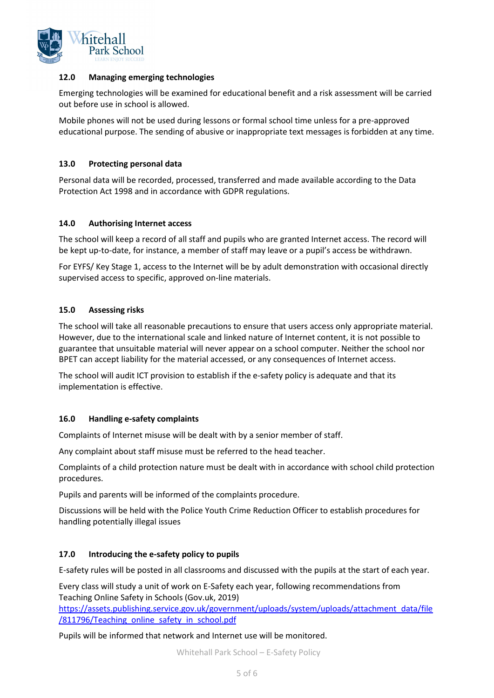

#### **12.0 Managing emerging technologies**

Emerging technologies will be examined for educational benefit and a risk assessment will be carried out before use in school is allowed.

Mobile phones will not be used during lessons or formal school time unless for a pre-approved educational purpose. The sending of abusive or inappropriate text messages is forbidden at any time.

#### **13.0 Protecting personal data**

Personal data will be recorded, processed, transferred and made available according to the Data Protection Act 1998 and in accordance with GDPR regulations.

#### **14.0 Authorising Internet access**

The school will keep a record of all staff and pupils who are granted Internet access. The record will be kept up-to-date, for instance, a member of staff may leave or a pupil's access be withdrawn.

For EYFS/ Key Stage 1, access to the Internet will be by adult demonstration with occasional directly supervised access to specific, approved on-line materials.

#### **15.0 Assessing risks**

The school will take all reasonable precautions to ensure that users access only appropriate material. However, due to the international scale and linked nature of Internet content, it is not possible to guarantee that unsuitable material will never appear on a school computer. Neither the school nor BPET can accept liability for the material accessed, or any consequences of Internet access.

The school will audit ICT provision to establish if the e-safety policy is adequate and that its implementation is effective.

#### **16.0 Handling e-safety complaints**

Complaints of Internet misuse will be dealt with by a senior member of staff.

Any complaint about staff misuse must be referred to the head teacher.

Complaints of a child protection nature must be dealt with in accordance with school child protection procedures.

Pupils and parents will be informed of the complaints procedure.

Discussions will be held with the Police Youth Crime Reduction Officer to establish procedures for handling potentially illegal issues

#### **17.0 Introducing the e-safety policy to pupils**

E-safety rules will be posted in all classrooms and discussed with the pupils at the start of each year.

Every class will study a unit of work on E-Safety each year, following recommendations from Teaching Online Safety in Schools (Gov.uk, 2019)

[https://assets.publishing.service.gov.uk/government/uploads/system/uploads/attachment\\_data/file](https://assets.publishing.service.gov.uk/government/uploads/system/uploads/attachment_data/file/811796/Teaching_online_safety_in_school.pdf) [/811796/Teaching\\_online\\_safety\\_in\\_school.pdf](https://assets.publishing.service.gov.uk/government/uploads/system/uploads/attachment_data/file/811796/Teaching_online_safety_in_school.pdf)

Pupils will be informed that network and Internet use will be monitored.

Whitehall Park School – E-Safety Policy